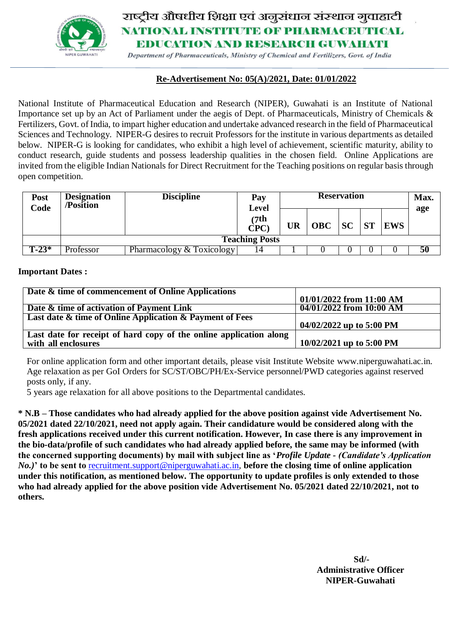

# राष्ट्रीय औषधीय शिक्षा एवं अनुसंधान संस्थान गुवाहाटी **NATIONAL INSTITUTE OF PHARMACEUTICAL BDUCATION AND RESEARCH GUWAHATI**

Department of Pharmaceuticals, Ministry of Chemical and Fertilizers, Govt. of India

#### **Re-Advertisement No: 05(A)/2021, Date: 01/01/2022**

National Institute of Pharmaceutical Education and Research (NIPER), Guwahati is an Institute of National Importance set up by an Act of Parliament under the aegis of Dept. of Pharmaceuticals, Ministry of Chemicals & Fertilizers, Govt. of India, to impart higher education and undertake advanced research in the field of Pharmaceutical Sciences and Technology. NIPER-G desires to recruit Professors for the institute in various departments as detailed below. NIPER-G is looking for candidates, who exhibit a high level of achievement, scientific maturity, ability to conduct research, guide students and possess leadership qualities in the chosen field. Online Applications are invited from the eligible Indian Nationals for Direct Recruitment for the Teaching positions on regular basis through open competition.

| <b>Post</b><br>Code | <b>Designation</b><br>/Position | <b>Discipline</b>         | Pay<br>Level<br>(7th)<br>CPC) | <b>Reservation</b> |            |           |           |            | Max.<br>age |
|---------------------|---------------------------------|---------------------------|-------------------------------|--------------------|------------|-----------|-----------|------------|-------------|
|                     |                                 |                           |                               | UR                 | <b>OBC</b> | <b>SC</b> | <b>ST</b> | <b>EWS</b> |             |
|                     | <b>Teaching Posts</b>           |                           |                               |                    |            |           |           |            |             |
| $\Gamma$ -23*       | Professor                       | Pharmacology & Toxicology | 14                            |                    |            |           |           |            | 50          |

#### **Important Dates :**

| Date & time of commencement of Online Applications                 |                            |
|--------------------------------------------------------------------|----------------------------|
|                                                                    | $01/01/2022$ from 11:00 AM |
| Date & time of activation of Payment Link                          | 04/01/2022 from 10:00 AM   |
| Last date & time of Online Application & Payment of Fees           |                            |
|                                                                    | 04/02/2022 up to 5:00 PM   |
| Last date for receipt of hard copy of the online application along |                            |
| with all enclosures                                                | 10/02/2021 up to 5:00 PM   |

For online application form and other important details, please visit Institute Website [www.niperguwahati.ac.in.](http://www.niperguwahati.ac.in/)  Age relaxation as per GoI Orders for SC/ST/OBC/PH/Ex-Service personnel/PWD categories against reserved posts only, if any.

5 years age relaxation for all above positions to the Departmental candidates.

**\* N.B – Those candidates who had already applied for the above position against vide Advertisement No. 05/2021 dated 22/10/2021, need not apply again. Their candidature would be considered along with the fresh applications received under this current notification. However, In case there is any improvement in the bio-data/profile of such candidates who had already applied before, the same may be informed (with the concerned supporting documents) by mail with subject line as '***Profile Update - (Candidate's Application No.)***' to be sent to** [recruitment.support@niperguwahati.ac.in,](mailto:recruitment.support@niperguwahati.ac.in) **before the closing time of online application under this notification, as mentioned below. The opportunity to update profiles is only extended to those who had already applied for the above position vide Advertisement No. 05/2021 dated 22/10/2021, not to others.**

> **Sd/- Administrative Officer NIPER-Guwahati**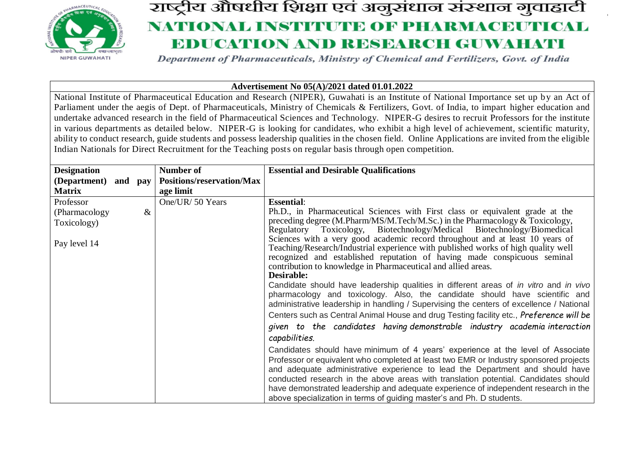

# राष्ट्रीय औषधीय शिक्षा एवं अनुसंधान संस्थान गुवाहाटी NATIONAL INSTITUTE OF PHARMACEUTICAL **BDUCATION AND RESEARCH GUWAHATI**

Department of Pharmaceuticals, Ministry of Chemical and Fertilizers, Govt. of India

#### **Advertisement No 05(A)/2021 dated 01.01.2022**

National Institute of Pharmaceutical Education and Research (NIPER), Guwahati is an Institute of National Importance set up by an Act of Parliament under the aegis of Dept. of Pharmaceuticals, Ministry of Chemicals & Fertilizers, Govt. of India, to impart higher education and undertake advanced research in the field of Pharmaceutical Sciences and Technology. NIPER-G desires to recruit Professors for the institute in various departments as detailed below. NIPER-G is looking for candidates, who exhibit a high level of achievement, scientific maturity, ability to conduct research, guide students and possess leadership qualities in the chosen field. Online Applications are invited from the eligible Indian Nationals for Direct Recruitment for the Teaching posts on regular basis through open competition.

| <b>Designation</b>   |      | Number of                 | <b>Essential and Desirable Qualifications</b>                                                                                                                      |
|----------------------|------|---------------------------|--------------------------------------------------------------------------------------------------------------------------------------------------------------------|
| (Department) and pay |      | Positions/reservation/Max |                                                                                                                                                                    |
| <b>Matrix</b>        |      | age limit                 |                                                                                                                                                                    |
| Professor            |      | One/UR/ 50 Years          | <b>Essential:</b>                                                                                                                                                  |
| (Pharmacology)       | $\&$ |                           | Ph.D., in Pharmaceutical Sciences with First class or equivalent grade at the                                                                                      |
| Toxicology)          |      |                           | preceding degree (M.Pharm/MS/M.Tech/M.Sc.) in the Pharmacology & Toxicology,                                                                                       |
|                      |      |                           | Regulatory Toxicology, Biotechnology/Medical Biotechnology/Biomedical                                                                                              |
| Pay level 14         |      |                           | Sciences with a very good academic record throughout and at least 10 years of<br>Teaching/Research/Industrial experience with published works of high quality well |
|                      |      |                           | recognized and established reputation of having made conspicuous seminal                                                                                           |
|                      |      |                           | contribution to knowledge in Pharmaceutical and allied areas.                                                                                                      |
|                      |      |                           | Desirable:                                                                                                                                                         |
|                      |      |                           | Candidate should have leadership qualities in different areas of in vitro and in vivo                                                                              |
|                      |      |                           | pharmacology and toxicology. Also, the candidate should have scientific and                                                                                        |
|                      |      |                           | administrative leadership in handling / Supervising the centers of excellence / National                                                                           |
|                      |      |                           | Centers such as Central Animal House and drug Testing facility etc., Preference will be                                                                            |
|                      |      |                           | given to the candidates having demonstrable industry academia interaction                                                                                          |
|                      |      |                           | capabilities.                                                                                                                                                      |
|                      |      |                           | Candidates should have minimum of 4 years' experience at the level of Associate                                                                                    |
|                      |      |                           | Professor or equivalent who completed at least two EMR or Industry sponsored projects                                                                              |
|                      |      |                           | and adequate administrative experience to lead the Department and should have                                                                                      |
|                      |      |                           | conducted research in the above areas with translation potential. Candidates should                                                                                |
|                      |      |                           | have demonstrated leadership and adequate experience of independent research in the                                                                                |
|                      |      |                           | above specialization in terms of guiding master's and Ph. D students.                                                                                              |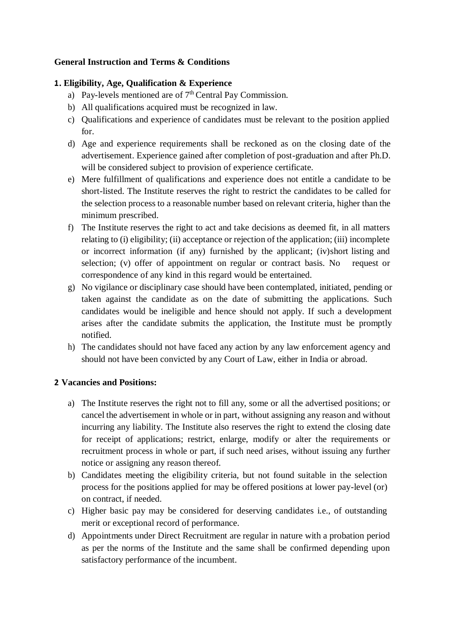#### **General Instruction and Terms & Conditions**

#### **1. . Eligibility, Age, Qualification & Experience**

- a) Pay-levels mentioned are of 7<sup>th</sup> Central Pay Commission.
- b) All qualifications acquired must be recognized in law.
- c) Qualifications and experience of candidates must be relevant to the position applied for.
- d) Age and experience requirements shall be reckoned as on the closing date of the advertisement. Experience gained after completion of post-graduation and after Ph.D. will be considered subject to provision of experience certificate.
- e) Mere fulfillment of qualifications and experience does not entitle a candidate to be short-listed. The Institute reserves the right to restrict the candidates to be called for the selection process to a reasonable number based on relevant criteria, higher than the minimum prescribed.
- f) The Institute reserves the right to act and take decisions as deemed fit, in all matters relating to (i) eligibility; (ii) acceptance or rejection of the application; (iii) incomplete or incorrect information (if any) furnished by the applicant; (iv)short listing and selection; (v) offer of appointment on regular or contract basis. No request or correspondence of any kind in this regard would be entertained.
- g) No vigilance or disciplinary case should have been contemplated, initiated, pending or taken against the candidate as on the date of submitting the applications. Such candidates would be ineligible and hence should not apply. If such a development arises after the candidate submits the application, the Institute must be promptly notified.
- h) The candidates should not have faced any action by any law enforcement agency and should not have been convicted by any Court of Law, either in India or abroad.

#### **2. Vacancies and Positions:**

- a) The Institute reserves the right not to fill any, some or all the advertised positions; or cancel the advertisement in whole or in part, without assigning any reason and without incurring any liability. The Institute also reserves the right to extend the closing date for receipt of applications; restrict, enlarge, modify or alter the requirements or recruitment process in whole or part, if such need arises, without issuing any further notice or assigning any reason thereof.
- b) Candidates meeting the eligibility criteria, but not found suitable in the selection process for the positions applied for may be offered positions at lower pay-level (or) on contract, if needed.
- c) Higher basic pay may be considered for deserving candidates i.e., of outstanding merit or exceptional record of performance.
- d) Appointments under Direct Recruitment are regular in nature with a probation period as per the norms of the Institute and the same shall be confirmed depending upon satisfactory performance of the incumbent.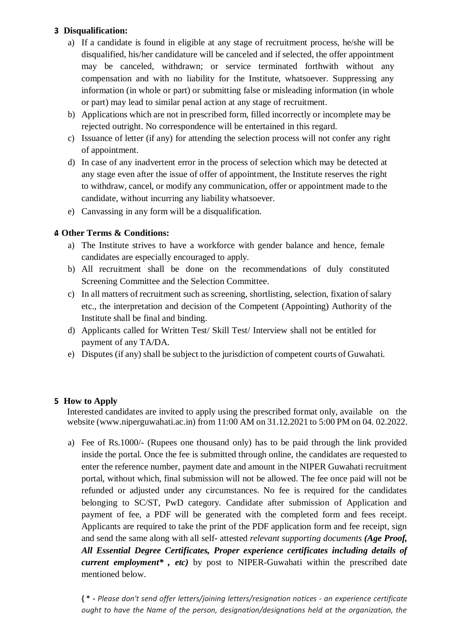#### **3. Disqualification:**

- a) If a candidate is found in eligible at any stage of recruitment process, he/she will be disqualified, his/her candidature will be canceled and if selected, the offer appointment may be canceled, withdrawn; or service terminated forthwith without any compensation and with no liability for the Institute, whatsoever. Suppressing any information (in whole or part) or submitting false or misleading information (in whole or part) may lead to similar penal action at any stage of recruitment.
- b) Applications which are not in prescribed form, filled incorrectly or incomplete may be rejected outright. No correspondence will be entertained in this regard.
- c) Issuance of letter (if any) for attending the selection process will not confer any right of appointment.
- d) In case of any inadvertent error in the process of selection which may be detected at any stage even after the issue of offer of appointment, the Institute reserves the right to withdraw, cancel, or modify any communication, offer or appointment made to the candidate, without incurring any liability whatsoever.
- e) Canvassing in any form will be a disqualification.

### **4. Other Terms & Conditions:**

- a) The Institute strives to have a workforce with gender balance and hence, female candidates are especially encouraged to apply.
- b) All recruitment shall be done on the recommendations of duly constituted Screening Committee and the Selection Committee.
- c) In all matters of recruitment such as screening, shortlisting, selection, fixation of salary etc., the interpretation and decision of the Competent (Appointing) Authority of the Institute shall be final and binding.
- d) Applicants called for Written Test/ Skill Test/ Interview shall not be entitled for payment of any TA/DA.
- e) Disputes (if any) shall be subject to the jurisdiction of competent courts of Guwahati.

#### **5. How to Apply**

Interested candidates are invited to apply using the prescribed format only, available on the website (www.niperguwahati.ac.in) from 11:00 AM on 31.12.2021 to 5:00 PM on 04. 02.2022.

a) Fee of Rs.1000/- (Rupees one thousand only) has to be paid through the link provided inside the portal. Once the fee is submitted through online, the candidates are requested to enter the reference number, payment date and amount in the NIPER Guwahati recruitment portal, without which, final submission will not be allowed. The fee once paid will not be refunded or adjusted under any circumstances. No fee is required for the candidates belonging to SC/ST, PwD category. Candidate after submission of Application and payment of fee, a PDF will be generated with the completed form and fees receipt. Applicants are required to take the print of the PDF application form and fee receipt, sign and send the same along with all self- attested *relevant supporting documents (Age Proof, All Essential Degree Certificates, Proper experience certificates including details of current employment\* , etc)* by post to NIPER-Guwahati within the prescribed date mentioned below.

**{ \* -** *Please don't send offer letters/joining letters/resignation notices - an experience certificate ought to have the Name of the person, designation/designations held at the organization, the*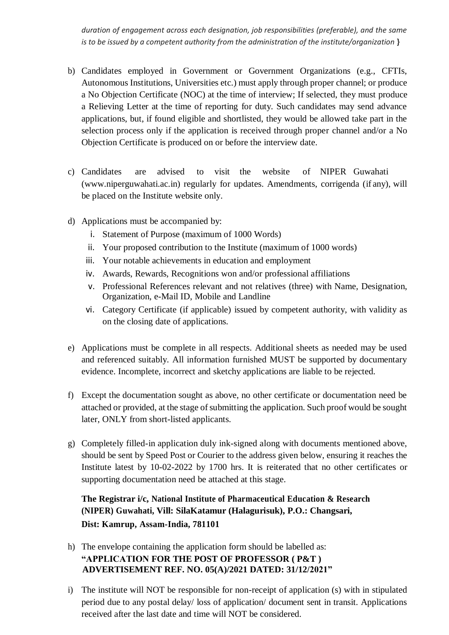*duration of engagement across each designation, job responsibilities (preferable), and the same is to be issued by a competent authority from the administration of the institute/organization* **}**

- b) Candidates employed in Government or Government Organizations (e.g., CFTIs, Autonomous Institutions, Universities etc.) must apply through proper channel; or produce a No Objection Certificate (NOC) at the time of interview; If selected, they must produce a Relieving Letter at the time of reporting for duty. Such candidates may send advance applications, but, if found eligible and shortlisted, they would be allowed take part in the selection process only if the application is received through proper channel and/or a No Objection Certificate is produced on or before the interview date.
- c) Candidates are advised to visit the website of NIPER Guwahati (www.niperguwahati.ac.in) regularly for updates. Amendments, corrigenda (if any), will be placed on the Institute website only.
- d) Applications must be accompanied by:
	- i. Statement of Purpose (maximum of 1000 Words)
	- ii. Your proposed contribution to the Institute (maximum of 1000 words)
	- iii. Your notable achievements in education and employment
	- iv. Awards, Rewards, Recognitions won and/or professional affiliations
	- v. Professional References relevant and not relatives (three) with Name, Designation, Organization, e-Mail ID, Mobile and Landline
	- vi. Category Certificate (if applicable) issued by competent authority, with validity as on the closing date of applications.
- e) Applications must be complete in all respects. Additional sheets as needed may be used and referenced suitably. All information furnished MUST be supported by documentary evidence. Incomplete, incorrect and sketchy applications are liable to be rejected.
- f) Except the documentation sought as above, no other certificate or documentation need be attached or provided, at the stage of submitting the application. Such proof would be sought later, ONLY from short-listed applicants.
- g) Completely filled-in application duly ink-signed along with documents mentioned above, should be sent by Speed Post or Courier to the address given below, ensuring it reaches the Institute latest by 10-02-2022 by 1700 hrs. It is reiterated that no other certificates or supporting documentation need be attached at this stage.

## **The Registrar i/c, National Institute of Pharmaceutical Education & Research (NIPER) Guwahati, Vill: SilaKatamur (Halagurisuk), P.O.: Changsari, Dist: Kamrup, Assam-India, 781101**

- h) The envelope containing the application form should be labelled as: **"APPLICATION FOR THE POST OF PROFESSOR ( P&T ) ADVERTISEMENT REF. NO. 05(A)/2021 DATED: 31/12/2021"**
- i) The institute will NOT be responsible for non-receipt of application (s) with in stipulated period due to any postal delay/ loss of application/ document sent in transit. Applications received after the last date and time will NOT be considered.